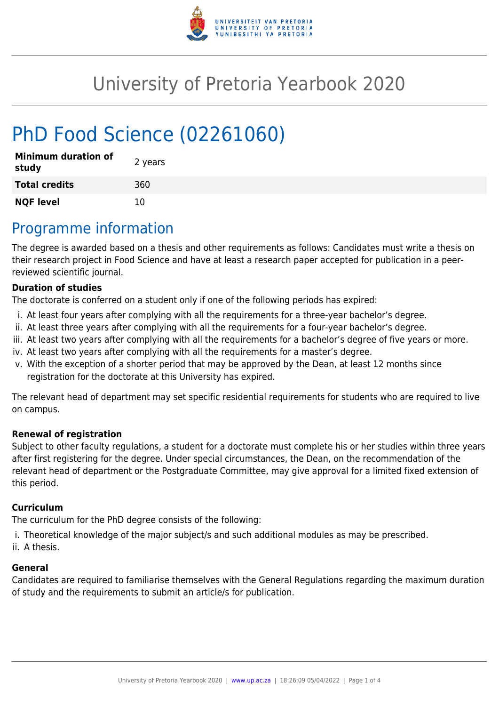

# University of Pretoria Yearbook 2020

# PhD Food Science (02261060)

| <b>Minimum duration of</b><br>study | 2 years |
|-------------------------------------|---------|
| <b>Total credits</b>                | 360     |
| <b>NQF level</b>                    | 10      |

## Programme information

The degree is awarded based on a thesis and other requirements as follows: Candidates must write a thesis on their research project in Food Science and have at least a research paper accepted for publication in a peerreviewed scientific journal.

#### **Duration of studies**

The doctorate is conferred on a student only if one of the following periods has expired:

- i. At least four years after complying with all the requirements for a three-year bachelor's degree.
- ii. At least three years after complying with all the requirements for a four-year bachelor's degree.
- iii. At least two years after complying with all the requirements for a bachelor's degree of five years or more.
- iv. At least two years after complying with all the requirements for a master's degree.
- v. With the exception of a shorter period that may be approved by the Dean, at least 12 months since registration for the doctorate at this University has expired.

The relevant head of department may set specific residential requirements for students who are required to live on campus.

#### **Renewal of registration**

Subject to other faculty regulations, a student for a doctorate must complete his or her studies within three years after first registering for the degree. Under special circumstances, the Dean, on the recommendation of the relevant head of department or the Postgraduate Committee, may give approval for a limited fixed extension of this period.

#### **Curriculum**

The curriculum for the PhD degree consists of the following:

- i. Theoretical knowledge of the major subject/s and such additional modules as may be prescribed.
- ii. A thesis.

#### **General**

Candidates are required to familiarise themselves with the General Regulations regarding the maximum duration of study and the requirements to submit an article/s for publication.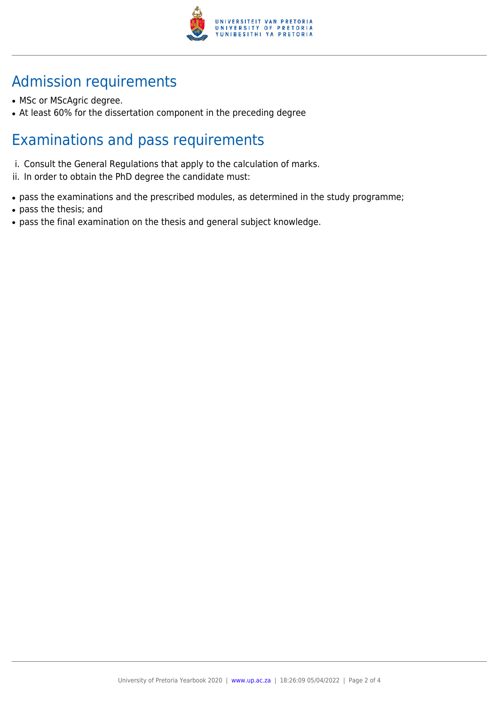

# Admission requirements

- MSc or MScAgric degree.
- At least 60% for the dissertation component in the preceding degree

## Examinations and pass requirements

- i. Consult the General Regulations that apply to the calculation of marks.
- ii. In order to obtain the PhD degree the candidate must:
- pass the examinations and the prescribed modules, as determined in the study programme;
- pass the thesis; and
- pass the final examination on the thesis and general subject knowledge.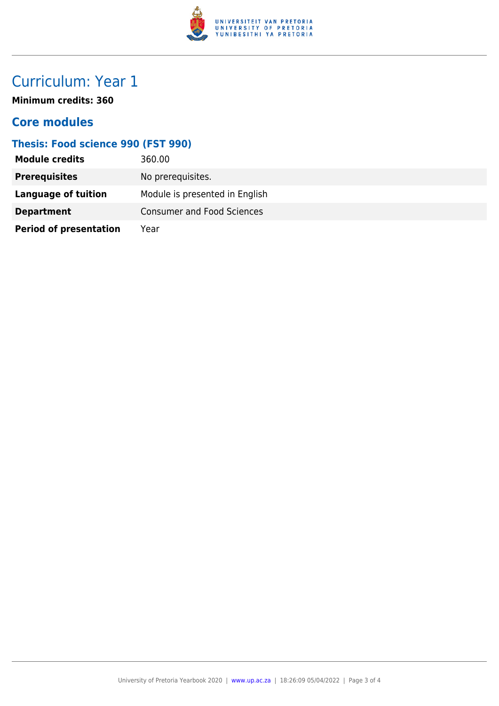

## Curriculum: Year 1

**Minimum credits: 360**

### **Core modules**

#### **Thesis: Food science 990 (FST 990)**

| <b>Module credits</b>         | 360.00                            |
|-------------------------------|-----------------------------------|
| <b>Prerequisites</b>          | No prerequisites.                 |
| Language of tuition           | Module is presented in English    |
| <b>Department</b>             | <b>Consumer and Food Sciences</b> |
| <b>Period of presentation</b> | Year                              |